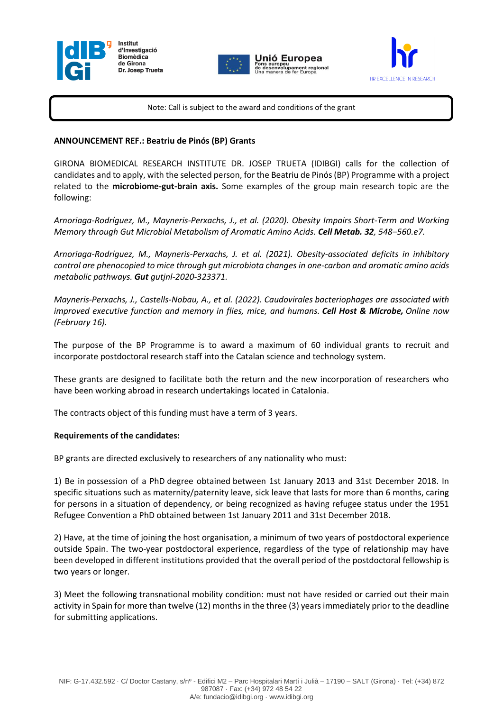





Note: Call is subject to the award and conditions of the grant

Jnió Europea

## **ANNOUNCEMENT REF.: Beatriu de Pinós (BP) Grants**

GIRONA BIOMEDICAL RESEARCH INSTITUTE DR. JOSEP TRUETA (IDIBGI) calls for the collection of candidates and to apply, with the selected person, for the Beatriu de Pinós (BP) Programme with a project related to the **microbiome-gut-brain axis.** Some examples of the group main research topic are the following:

*Arnoriaga-Rodríguez, M., Mayneris-Perxachs, J., et al. (2020). Obesity Impairs Short-Term and Working Memory through Gut Microbial Metabolism of Aromatic Amino Acids. Cell Metab. 32, 548–560.e7.*

*Arnoriaga-Rodríguez, M., Mayneris-Perxachs, J. et al. (2021). Obesity-associated deficits in inhibitory control are phenocopied to mice through gut microbiota changes in one-carbon and aromatic amino acids metabolic pathways. Gut gutjnl-2020-323371.*

*Mayneris-Perxachs, J., Castells-Nobau, A., et al. (2022). Caudovirales bacteriophages are associated with improved executive function and memory in flies, mice, and humans. Cell Host & Microbe, Online now (February 16).*

The purpose of the BP Programme is to award a maximum of 60 individual grants to recruit and incorporate postdoctoral research staff into the Catalan science and technology system.

These grants are designed to facilitate both the return and the new incorporation of researchers who have been working abroad in research undertakings located in Catalonia.

The contracts object of this funding must have a term of 3 years.

## **Requirements of the candidates:**

BP grants are directed exclusively to researchers of any nationality who must:

1) Be in possession of a PhD degree obtained between 1st January 2013 and 31st December 2018. In specific situations such as maternity/paternity leave, sick leave that lasts for more than 6 months, caring for persons in a situation of dependency, or being recognized as having refugee status under the 1951 Refugee Convention a PhD obtained between 1st January 2011 and 31st December 2018.

2) Have, at the time of joining the host organisation, a minimum of two years of postdoctoral experience outside Spain. The two-year postdoctoral experience, regardless of the type of relationship may have been developed in different institutions provided that the overall period of the postdoctoral fellowship is two years or longer.

3) Meet the following transnational mobility condition: must not have resided or carried out their main activity in Spain for more than twelve (12) months in the three (3) years immediately prior to the deadline for submitting applications.